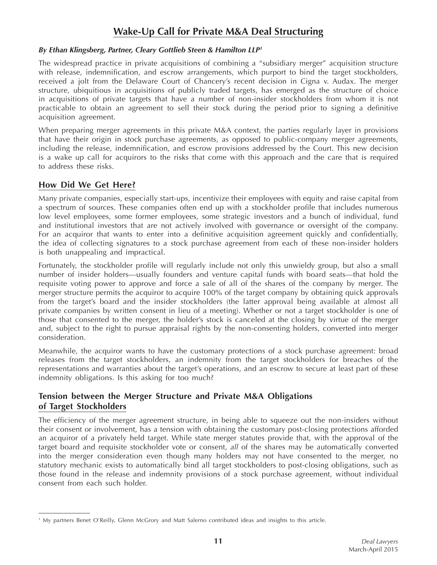# **Wake-Up Call for Private M&A Deal Structuring**

#### *By Ethan Klingsberg, Partner, Cleary Gottlieb Steen & Hamilton LLP1*

The widespread practice in private acquisitions of combining a "subsidiary merger" acquisition structure with release, indemnification, and escrow arrangements, which purport to bind the target stockholders, received a jolt from the Delaware Court of Chancery's recent decision in Cigna v. Audax. The merger structure, ubiquitious in acquisitions of publicly traded targets, has emerged as the structure of choice in acquisitions of private targets that have a number of non-insider stockholders from whom it is not practicable to obtain an agreement to sell their stock during the period prior to signing a definitive acquisition agreement.

When preparing merger agreements in this private M&A context, the parties regularly layer in provisions that have their origin in stock purchase agreements, as opposed to public-company merger agreements, including the release, indemnification, and escrow provisions addressed by the Court. This new decision is a wake up call for acquirors to the risks that come with this approach and the care that is required to address these risks.

## **How Did We Get Here?**

Many private companies, especially start-ups, incentivize their employees with equity and raise capital from a spectrum of sources. These companies often end up with a stockholder profile that includes numerous low level employees, some former employees, some strategic investors and a bunch of individual, fund and institutional investors that are not actively involved with governance or oversight of the company. For an acquiror that wants to enter into a definitive acquisition agreement quickly and confidentially, the idea of collecting signatures to a stock purchase agreement from each of these non-insider holders is both unappealing and impractical.

Fortunately, the stockholder profile will regularly include not only this unwieldy group, but also a small number of insider holders—usually founders and venture capital funds with board seats—that hold the requisite voting power to approve and force a sale of all of the shares of the company by merger. The merger structure permits the acquiror to acquire 100% of the target company by obtaining quick approvals from the target's board and the insider stockholders (the latter approval being available at almost all private companies by written consent in lieu of a meeting). Whether or not a target stockholder is one of those that consented to the merger, the holder's stock is canceled at the closing by virtue of the merger and, subject to the right to pursue appraisal rights by the non-consenting holders, converted into merger consideration.

Meanwhile, the acquiror wants to have the customary protections of a stock purchase agreement: broad releases from the target stockholders, an indemnity from the target stockholders for breaches of the representations and warranties about the target's operations, and an escrow to secure at least part of these indemnity obligations. Is this asking for too much?

### **Tension between the Merger Structure and Private M&A Obligations of Target Stockholders**

The efficiency of the merger agreement structure, in being able to squeeze out the non-insiders without their consent or involvement, has a tension with obtaining the customary post-closing protections afforded an acquiror of a privately held target. While state merger statutes provide that, with the approval of the target board and requisite stockholder vote or consent, *all* of the shares may be automatically converted into the merger consideration even though many holders may not have consented to the merger, no statutory mechanic exists to automatically bind all target stockholders to post-closing obligations, such as those found in the release and indemnity provisions of a stock purchase agreement, without individual consent from each such holder.

<sup>1</sup> My partners Benet O'Reilly, Glenn McGrory and Matt Salerno contributed ideas and insights to this article.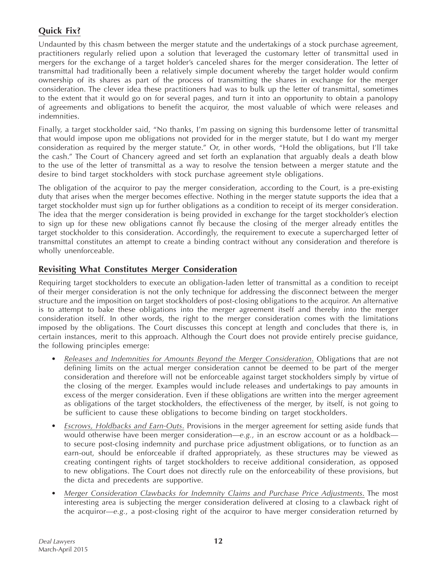## **Quick Fix?**

Undaunted by this chasm between the merger statute and the undertakings of a stock purchase agreement, practitioners regularly relied upon a solution that leveraged the customary letter of transmittal used in mergers for the exchange of a target holder's canceled shares for the merger consideration. The letter of transmittal had traditionally been a relatively simple document whereby the target holder would confirm ownership of its shares as part of the process of transmitting the shares in exchange for the merger consideration. The clever idea these practitioners had was to bulk up the letter of transmittal, sometimes to the extent that it would go on for several pages, and turn it into an opportunity to obtain a panolopy of agreements and obligations to benefit the acquiror, the most valuable of which were releases and indemnities.

Finally, a target stockholder said, "No thanks, I'm passing on signing this burdensome letter of transmittal that would impose upon me obligations not provided for in the merger statute, but I do want my merger consideration as required by the merger statute." Or, in other words, "Hold the obligations, but I'll take the cash." The Court of Chancery agreed and set forth an explanation that arguably deals a death blow to the use of the letter of transmittal as a way to resolve the tension between a merger statute and the desire to bind target stockholders with stock purchase agreement style obligations.

The obligation of the acquiror to pay the merger consideration, according to the Court, is a pre-existing duty that arises when the merger becomes effective. Nothing in the merger statute supports the idea that a target stockholder must sign up for further obligations as a condition to receipt of its merger consideration. The idea that the merger consideration is being provided in exchange for the target stockholder's election to sign up for these new obligations cannot fly because the closing of the merger already entitles the target stockholder to this consideration. Accordingly, the requirement to execute a supercharged letter of transmittal constitutes an attempt to create a binding contract without any consideration and therefore is wholly unenforceable.

## **Revisiting What Constitutes Merger Consideration**

Requiring target stockholders to execute an obligation-laden letter of transmittal as a condition to receipt of their merger consideration is not the only technique for addressing the disconnect between the merger structure and the imposition on target stockholders of post-closing obligations to the acquiror. An alternative is to attempt to bake these obligations into the merger agreement itself and thereby into the merger consideration itself. In other words, the right to the merger consideration comes with the limitations imposed by the obligations. The Court discusses this concept at length and concludes that there is, in certain instances, merit to this approach. Although the Court does not provide entirely precise guidance, the following principles emerge:

- Releases and Indemnities for Amounts Beyond the Merger Consideration. Obligations that are not defining limits on the actual merger consideration cannot be deemed to be part of the merger consideration and therefore will not be enforceable against target stockholders simply by virtue of the closing of the merger. Examples would include releases and undertakings to pay amounts in excess of the merger consideration. Even if these obligations are written into the merger agreement as obligations of the target stockholders, the effectiveness of the merger, by itself, is not going to be sufficient to cause these obligations to become binding on target stockholders.
- *Escrows, Holdbacks and Earn-Outs.* Provisions in the merger agreement for setting aside funds that would otherwise have been merger consideration—*e.g.*, in an escrow account or as a holdback to secure post-closing indemnity and purchase price adjustment obligations, or to function as an earn-out, should be enforceable if drafted appropriately, as these structures may be viewed as creating contingent rights of target stockholders to receive additional consideration, as opposed to new obligations. The Court does not directly rule on the enforceability of these provisions, but the dicta and precedents are supportive.
- *Merger Consideration Clawbacks for Indemnity Claims and Purchase Price Adjustments*. The most interesting area is subjecting the merger consideration delivered at closing to a clawback right of the acquiror—*e.g.*, a post-closing right of the acquiror to have merger consideration returned by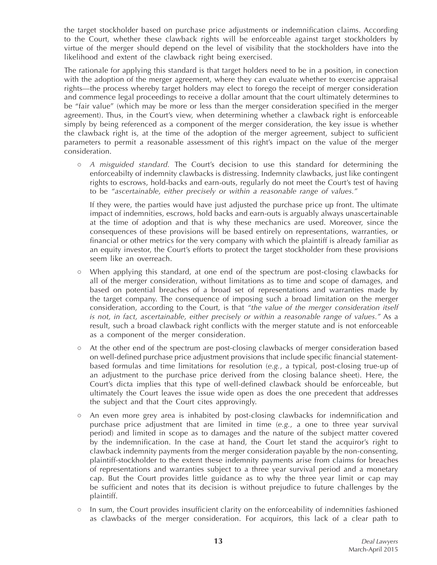the target stockholder based on purchase price adjustments or indemnification claims. According to the Court, whether these clawback rights will be enforceable against target stockholders by virtue of the merger should depend on the level of visibility that the stockholders have into the likelihood and extent of the clawback right being exercised.

The rationale for applying this standard is that target holders need to be in a position, in conection with the adoption of the merger agreement, where they can evaluate whether to exercise appraisal rights—the process whereby target holders may elect to forego the receipt of merger consideration and commence legal proceedings to receive a dollar amount that the court ultimately determines to be "fair value" (which may be more or less than the merger consideration specified in the merger agreement). Thus, in the Court's view, when determining whether a clawback right is enforceable simply by being referenced as a component of the merger consideration, the key issue is whether the clawback right is, at the time of the adoption of the merger agreement, subject to sufficient parameters to permit a reasonable assessment of this right's impact on the value of the merger consideration.

○ *A misguided standard.* The Court's decision to use this standard for determining the enforceabilty of indemnity clawbacks is distressing. Indemnity clawbacks, just like contingent rights to escrows, hold-backs and earn-outs, regularly do not meet the Court's test of having to be *"ascertainable, either precisely or within a reasonable range of values."*

 If they were, the parties would have just adjusted the purchase price up front. The ultimate impact of indemnities, escrows, hold backs and earn-outs is arguably always unascertainable at the time of adoption and that is why these mechanics are used. Moreover, since the consequences of these provisions will be based entirely on representations, warranties, or financial or other metrics for the very company with which the plaintiff is already familiar as an equity investor, the Court's efforts to protect the target stockholder from these provisions seem like an overreach.

- When applying this standard, at one end of the spectrum are post-closing clawbacks for all of the merger consideration, without limitations as to time and scope of damages, and based on potential breaches of a broad set of representations and warranties made by the target company. The consequence of imposing such a broad limitation on the merger consideration, according to the Court, is that *"the value of the merger consideration itself is not, in fact, ascertainable, either precisely or within a reasonable range of values."* As a result, such a broad clawback right conflicts with the merger statute and is not enforceable as a component of the merger consideration.
- At the other end of the spectrum are post-closing clawbacks of merger consideration based on well-defined purchase price adjustment provisions that include specific financial statementbased formulas and time limitations for resolution (*e.g.*, a typical, post-closing true-up of an adjustment to the purchase price derived from the closing balance sheet). Here, the Court's dicta implies that this type of well-defined clawback should be enforceable, but ultimately the Court leaves the issue wide open as does the one precedent that addresses the subject and that the Court cites approvingly.
- An even more grey area is inhabited by post-closing clawbacks for indemnification and purchase price adjustment that are limited in time (*e.g.*, a one to three year survival period) and limited in scope as to damages and the nature of the subject matter covered by the indemnification. In the case at hand, the Court let stand the acquiror's right to clawback indemnity payments from the merger consideration payable by the non-consenting, plaintiff-stockholder to the extent these indemnity payments arise from claims for breaches of representations and warranties subject to a three year survival period and a monetary cap. But the Court provides little guidance as to why the three year limit or cap may be sufficient and notes that its decision is without prejudice to future challenges by the plaintiff.
- In sum, the Court provides insufficient clarity on the enforceability of indemnities fashioned as clawbacks of the merger consideration. For acquirors, this lack of a clear path to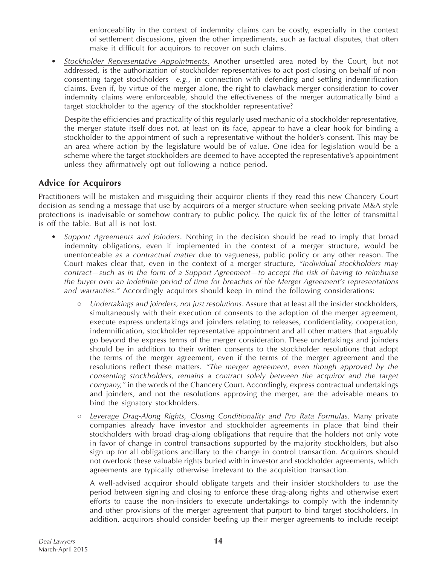enforceability in the context of indemnity claims can be costly, especially in the context of settlement discussions, given the other impediments, such as factual disputes, that often make it difficult for acquirors to recover on such claims.

Stockholder Representative Appointments. Another unsettled area noted by the Court, but not addressed, is the authorization of stockholder representatives to act post-closing on behalf of nonconsenting target stockholders—*e.g.*, in connection with defending and settling indemnification claims. Even if, by virtue of the merger alone, the right to clawback merger consideration to cover indemnity claims were enforceable, should the effectiveness of the merger automatically bind a target stockholder to the agency of the stockholder representative?

 Despite the efficiencies and practicality of this regularly used mechanic of a stockholder representative, the merger statute itself does not, at least on its face, appear to have a clear hook for binding a stockholder to the appointment of such a representative without the holder's consent. This may be an area where action by the legislature would be of value. One idea for legislation would be a scheme where the target stockholders are deemed to have accepted the representative's appointment unless they affirmatively opt out following a notice period.

## **Advice for Acquirors**

Practitioners will be mistaken and misguiding their acquiror clients if they read this new Chancery Court decision as sending a message that use by acquirors of a merger structure when seeking private M&A style protections is inadvisable or somehow contrary to public policy. The quick fix of the letter of transmittal is off the table. But all is not lost.

- Support Agreements and Joinders. Nothing in the decision should be read to imply that broad indemnity obligations, even if implemented in the context of a merger structure, would be unenforceable *as a contractual matter* due to vagueness, public policy or any other reason. The Court makes clear that, even in the context of a merger structure, *"individual stockholders may contract—such as in the form of a Support Agreement—to accept the risk of having to reimburse the buyer over an indefinite period of time for breaches of the Merger Agreement's representations and warranties."* Accordingly acquirors should keep in mind the following considerations:
	- *Undertakings and joinders, not just resolutions*. Assure that at least all the insider stockholders, simultaneously with their execution of consents to the adoption of the merger agreement, execute express undertakings and joinders relating to releases, confidentiality, cooperation, indemnification, stockholder representative appointment and all other matters that arguably go beyond the express terms of the merger consideration. These undertakings and joinders should be in addition to their written consents to the stockholder resolutions that adopt the terms of the merger agreement, even if the terms of the merger agreement and the resolutions reflect these matters. *"The merger agreement, even though approved by the consenting stockholders, remains a contract solely between the acquiror and the target company,"* in the words of the Chancery Court. Accordingly, express contractual undertakings and joinders, and not the resolutions approving the merger, are the advisable means to bind the signatory stockholders.
	- Leverage Drag-Along Rights, Closing Conditionality and Pro Rata Formulas. Many private companies already have investor and stockholder agreements in place that bind their stockholders with broad drag-along obligations that require that the holders not only vote in favor of change in control transactions supported by the majority stockholders, but also sign up for all obligations ancillary to the change in control transaction. Acquirors should not overlook these valuable rights buried within investor and stockholder agreements, which agreements are typically otherwise irrelevant to the acquisition transaction.

 A well-advised acquiror should obligate targets and their insider stockholders to use the period between signing and closing to enforce these drag-along rights and otherwise exert efforts to cause the non-insiders to execute undertakings to comply with the indemnity and other provisions of the merger agreement that purport to bind target stockholders. In addition, acquirors should consider beefing up their merger agreements to include receipt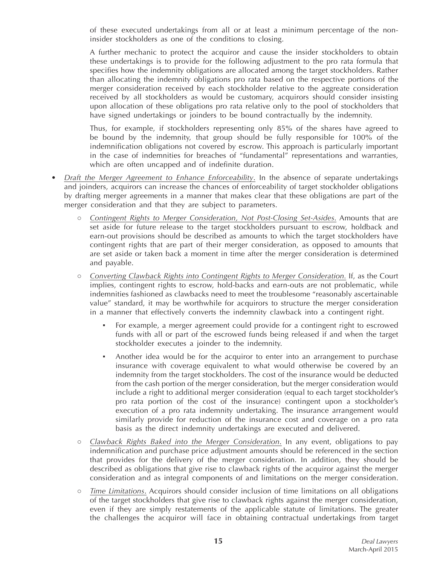of these executed undertakings from all or at least a minimum percentage of the noninsider stockholders as one of the conditions to closing.

A further mechanic to protect the acquiror and cause the insider stockholders to obtain these undertakings is to provide for the following adjustment to the pro rata formula that specifies how the indemnity obligations are allocated among the target stockholders. Rather than allocating the indemnity obligations pro rata based on the respective portions of the merger consideration received by each stockholder relative to the aggreate consideration received by all stockholders as would be customary, acquirors should consider insisting upon allocation of these obligations pro rata relative only to the pool of stockholders that have signed undertakings or joinders to be bound contractually by the indemnity.

 Thus, for example, if stockholders representing only 85% of the shares have agreed to be bound by the indemnity, that group should be fully responsible for 100% of the indemnification obligations not covered by escrow. This approach is particularly important in the case of indemnities for breaches of "fundamental" representations and warranties, which are often uncapped and of indefinite duration.

- *Draft the Merger Agreement to Enhance Enforceability*. In the absence of separate undertakings and joinders, acquirors can increase the chances of enforceability of target stockholder obligations by drafting merger agreements in a manner that makes clear that these obligations are part of the merger consideration and that they are subject to parameters.
	- *Contingent Rights to Merger Consideration, Not Post-Closing Set-Asides*. Amounts that are set aside for future release to the target stockholders pursuant to escrow, holdback and earn-out provisions should be described as amounts to which the target stockholders have contingent rights that are part of their merger consideration, as opposed to amounts that are set aside or taken back a moment in time after the merger consideration is determined and payable.
	- *Converting Clawback Rights into Contingent Rights to Merger Consideration.* If, as the Court implies, contingent rights to escrow, hold-backs and earn-outs are not problematic, while indemnities fashioned as clawbacks need to meet the troublesome "reasonably ascertainable value" standard, it may be worthwhile for acquirors to structure the merger consideration in a manner that effectively converts the indemnity clawback into a contingent right.
		- For example, a merger agreement could provide for a contingent right to escrowed funds with all or part of the escrowed funds being released if and when the target stockholder executes a joinder to the indemnity.
		- Another idea would be for the acquiror to enter into an arrangement to purchase insurance with coverage equivalent to what would otherwise be covered by an indemnity from the target stockholders. The cost of the insurance would be deducted from the cash portion of the merger consideration, but the merger consideration would include a right to additional merger consideration (equal to each target stockholder's pro rata portion of the cost of the insurance) contingent upon a stockholder's execution of a pro rata indemnity undertaking. The insurance arrangement would similarly provide for reduction of the insurance cost and coverage on a pro rata basis as the direct indemnity undertakings are executed and delivered.
	- *Clawback Rights Baked into the Merger Consideration*. In any event, obligations to pay indemnification and purchase price adjustment amounts should be referenced in the section that provides for the delivery of the merger consideration. In addition, they should be described as obligations that give rise to clawback rights of the acquiror against the merger consideration and as integral components of and limitations on the merger consideration.
	- *Time Limitations*. Acquirors should consider inclusion of time limitations on all obligations of the target stockholders that give rise to clawback rights against the merger consideration, even if they are simply restatements of the applicable statute of limitations. The greater the challenges the acquiror will face in obtaining contractual undertakings from target